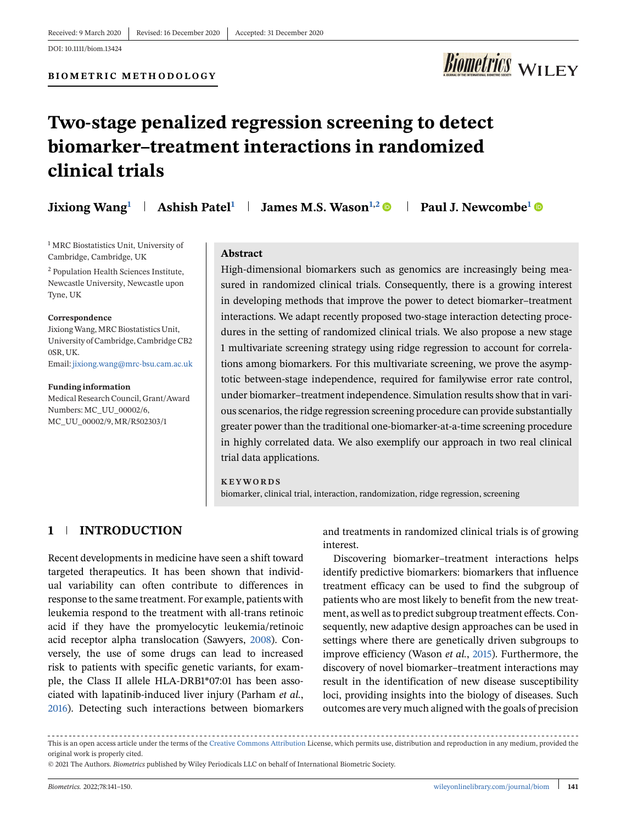

# **Two-stage penalized regression screening to detect biomarker–treatment interactions in randomized clinical trials**

|  | Jixiong Wang <sup>1</sup>   Ashish Patel <sup>1</sup>   James M.S. Wason <sup>1,2</sup> $\bullet$ | Paul J. Newcombe <sup>1</sup> ® |
|--|---------------------------------------------------------------------------------------------------|---------------------------------|
|  |                                                                                                   |                                 |

<sup>1</sup> MRC Biostatistics Unit, University of Cambridge, Cambridge, UK

<sup>2</sup> Population Health Sciences Institute, Newcastle University, Newcastle upon Tyne, UK

#### **Correspondence**

JixiongWang, MRC Biostatistics Unit, University of Cambridge, Cambridge CB2 0SR, UK. Email: [jixiong.wang@mrc-bsu.cam.ac.uk](mailto:jixiong.wang@mrc-bsu.cam.ac.uk)

**Funding information** Medical Research Council, Grant/Award Numbers: MC\_UU\_00002/6, MC\_UU\_00002/9, MR/R502303/1

#### **Abstract**

High-dimensional biomarkers such as genomics are increasingly being measured in randomized clinical trials. Consequently, there is a growing interest in developing methods that improve the power to detect biomarker–treatment interactions. We adapt recently proposed two-stage interaction detecting procedures in the setting of randomized clinical trials. We also propose a new stage 1 multivariate screening strategy using ridge regression to account for correlations among biomarkers. For this multivariate screening, we prove the asymptotic between-stage independence, required for familywise error rate control, under biomarker–treatment independence. Simulation results show that in various scenarios, the ridge regression screening procedure can provide substantially greater power than the traditional one-biomarker-at-a-time screening procedure in highly correlated data. We also exemplify our approach in two real clinical trial data applications.

#### **KEYWORDS**

biomarker, clinical trial, interaction, randomization, ridge regression, screening

# **1 INTRODUCTION**

Recent developments in medicine have seen a shift toward targeted therapeutics. It has been shown that individual variability can often contribute to differences in response to the same treatment. For example, patients with leukemia respond to the treatment with all-trans retinoic acid if they have the promyelocytic leukemia/retinoic acid receptor alpha translocation (Sawyers, [2008\)](#page-8-0). Conversely, the use of some drugs can lead to increased risk to patients with specific genetic variants, for example, the Class II allele HLA-DRB1\*07:01 has been associated with lapatinib-induced liver injury (Parham *et al.*, [2016\)](#page-8-0). Detecting such interactions between biomarkers and treatments in randomized clinical trials is of growing interest.

Discovering biomarker–treatment interactions helps identify predictive biomarkers: biomarkers that influence treatment efficacy can be used to find the subgroup of patients who are most likely to benefit from the new treatment, as well as to predict subgroup treatment effects. Consequently, new adaptive design approaches can be used in settings where there are genetically driven subgroups to improve efficiency (Wason *et al.*, [2015\)](#page-8-0). Furthermore, the discovery of novel biomarker–treatment interactions may result in the identification of new disease susceptibility loci, providing insights into the biology of diseases. Such outcomes are very much aligned with the goals of precision

This is an open access article under the terms of the [Creative Commons Attribution](http://creativecommons.org/licenses/by/4.0/) License, which permits use, distribution and reproduction in any medium, provided the original work is properly cited.

<sup>© 2021</sup> The Authors. *Biometrics* published by Wiley Periodicals LLC on behalf of International Biometric Society.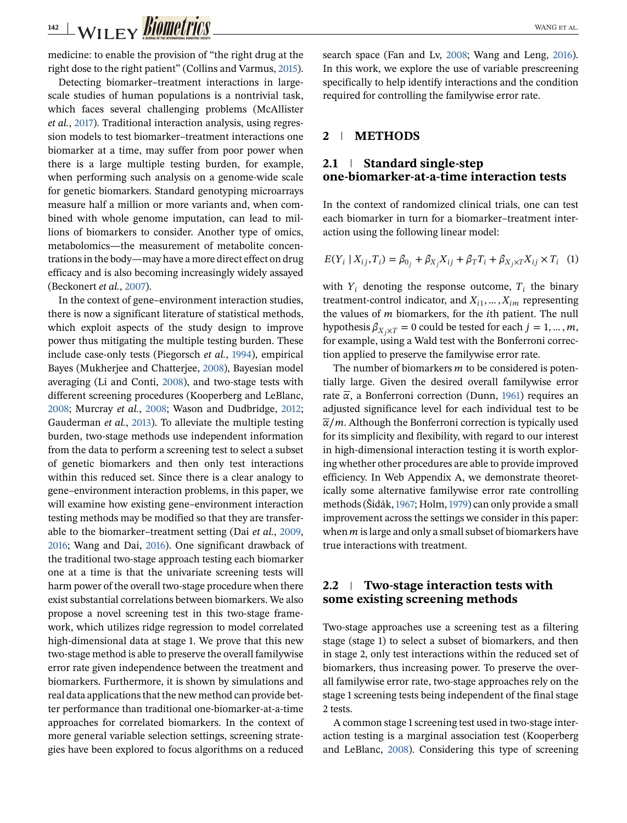<span id="page-1-0"></span>medicine: to enable the provision of "the right drug at the right dose to the right patient" (Collins and Varmus, [2015\)](#page-8-0).

Detecting biomarker–treatment interactions in largescale studies of human populations is a nontrivial task, which faces several challenging problems (McAllister *et al.*, [2017\)](#page-8-0). Traditional interaction analysis, using regression models to test biomarker–treatment interactions one biomarker at a time, may suffer from poor power when there is a large multiple testing burden, for example, when performing such analysis on a genome-wide scale for genetic biomarkers. Standard genotyping microarrays measure half a million or more variants and, when combined with whole genome imputation, can lead to millions of biomarkers to consider. Another type of omics, metabolomics—the measurement of metabolite concentrations in the body—may have a more direct effect on drug efficacy and is also becoming increasingly widely assayed (Beckonert *et al.*, [2007\)](#page-7-0).

In the context of gene–environment interaction studies, there is now a significant literature of statistical methods, which exploit aspects of the study design to improve power thus mitigating the multiple testing burden. These include case-only tests (Piegorsch *et al.*, [1994\)](#page-8-0), empirical Bayes (Mukherjee and Chatterjee, [2008\)](#page-8-0), Bayesian model averaging (Li and Conti, [2008\)](#page-8-0), and two-stage tests with different screening procedures (Kooperberg and LeBlanc, [2008;](#page-8-0) Murcray *et al.*, [2008;](#page-8-0) Wason and Dudbridge, [2012;](#page-8-0) Gauderman *et al.*, [2013\)](#page-8-0). To alleviate the multiple testing burden, two-stage methods use independent information from the data to perform a screening test to select a subset of genetic biomarkers and then only test interactions within this reduced set. Since there is a clear analogy to gene–environment interaction problems, in this paper, we will examine how existing gene–environment interaction testing methods may be modified so that they are transferable to the biomarker–treatment setting (Dai *et al.*, [2009,](#page-8-0) [2016;](#page-8-0) Wang and Dai, [2016\)](#page-8-0). One significant drawback of the traditional two-stage approach testing each biomarker one at a time is that the univariate screening tests will harm power of the overall two-stage procedure when there exist substantial correlations between biomarkers. We also propose a novel screening test in this two-stage framework, which utilizes ridge regression to model correlated high-dimensional data at stage 1. We prove that this new two-stage method is able to preserve the overall familywise error rate given independence between the treatment and biomarkers. Furthermore, it is shown by simulations and real data applications that the new method can provide better performance than traditional one-biomarker-at-a-time approaches for correlated biomarkers. In the context of more general variable selection settings, screening strategies have been explored to focus algorithms on a reduced search space (Fan and Lv, [2008;](#page-8-0) Wang and Leng, [2016\)](#page-8-0). In this work, we explore the use of variable prescreening specifically to help identify interactions and the condition required for controlling the familywise error rate.

#### **2 METHODS**

# **2.1 Standard single-step one-biomarker-at-a-time interaction tests**

In the context of randomized clinical trials, one can test each biomarker in turn for a biomarker–treatment interaction using the following linear model:

$$
E(Y_i | X_{ij}, T_i) = \beta_{0_j} + \beta_{X_j} X_{ij} + \beta_T T_i + \beta_{X_j \times T} X_{ij} \times T_i
$$
 (1)

with  $Y_i$  denoting the response outcome,  $T_i$  the binary treatment-control indicator, and  $X_{i1}, \ldots, X_{im}$  representing the values of  $m$  biomarkers, for the *i*th patient. The null hypothesis  $\beta_{X_i \times T} = 0$  could be tested for each  $j = 1, ..., m$ , for example, using a Wald test with the Bonferroni correction applied to preserve the familywise error rate.

The number of biomarkers  $m$  to be considered is potentially large. Given the desired overall familywise error rate  $\bar{\alpha}$ , a Bonferroni correction (Dunn, [1961\)](#page-8-0) requires an adjusted significance level for each individual test to be  $\overline{\alpha}/m$ . Although the Bonferroni correction is typically used for its simplicity and flexibility, with regard to our interest in high-dimensional interaction testing it is worth exploring whether other procedures are able to provide improved efficiency. In Web Appendix A, we demonstrate theoretically some alternative familywise error rate controlling methods (Šidák,[1967;](#page-8-0) Holm,[1979\)](#page-8-0) can only provide a small improvement across the settings we consider in this paper: when  $m$  is large and only a small subset of biomarkers have true interactions with treatment.

# **2.2 Two-stage interaction tests with some existing screening methods**

Two-stage approaches use a screening test as a filtering stage (stage 1) to select a subset of biomarkers, and then in stage 2, only test interactions within the reduced set of biomarkers, thus increasing power. To preserve the overall familywise error rate, two-stage approaches rely on the stage 1 screening tests being independent of the final stage 2 tests.

A common stage 1 screening test used in two-stage interaction testing is a marginal association test (Kooperberg and LeBlanc, [2008\)](#page-8-0). Considering this type of screening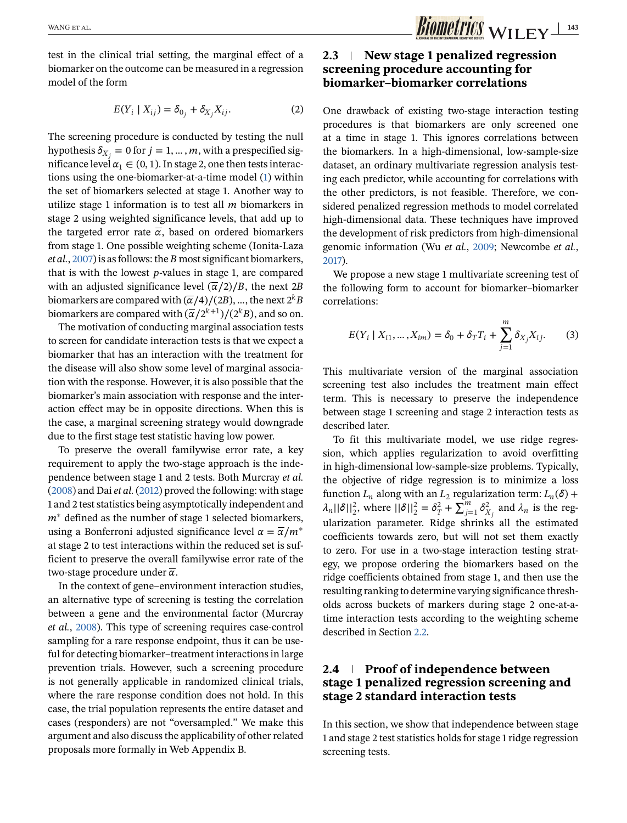<span id="page-2-0"></span>test in the clinical trial setting, the marginal effect of a biomarker on the outcome can be measured in a regression model of the form

$$
E(Y_i \mid X_{ij}) = \delta_{0_j} + \delta_{X_j} X_{ij}.
$$
 (2)

The screening procedure is conducted by testing the null hypothesis  $\delta_{X_i} = 0$  for  $j = 1, ..., m$ , with a prespecified significance level  $\alpha_1 \in (0, 1)$ . In stage 2, one then tests interactions using the one-biomarker-at-a-time model [\(1\)](#page-1-0) within the set of biomarkers selected at stage 1. Another way to utilize stage 1 information is to test all  $m$  biomarkers in stage 2 using weighted significance levels, that add up to the targeted error rate  $\overline{\alpha}$ , based on ordered biomarkers from stage 1. One possible weighting scheme (Ionita-Laza *et al.*, [2007\)](#page-8-0) is as follows: the *B* most significant biomarkers, that is with the lowest  $p$ -values in stage 1, are compared with an adjusted significance level  $\left(\frac{\overline{\alpha}}{2}\right)/B$ , the next 2B biomarkers are compared with  $\left(\frac{\overline{\alpha}}{4}\right)/(2B)$ , ..., the next  $2^k B$ biomarkers are compared with  $(\overline{\alpha}/2^{k+1})/(2^{k}B)$ , and so on.

The motivation of conducting marginal association tests to screen for candidate interaction tests is that we expect a biomarker that has an interaction with the treatment for the disease will also show some level of marginal association with the response. However, it is also possible that the biomarker's main association with response and the interaction effect may be in opposite directions. When this is the case, a marginal screening strategy would downgrade due to the first stage test statistic having low power.

To preserve the overall familywise error rate, a key requirement to apply the two-stage approach is the independence between stage 1 and 2 tests. Both Murcray *et al.* [\(2008\)](#page-8-0) and Dai *et al.* [\(2012\)](#page-8-0) proved the following: with stage 1 and 2 test statistics being asymptotically independent and  $m^*$  defined as the number of stage 1 selected biomarkers, using a Bonferroni adjusted significance level  $\alpha = \overline{\alpha}/m^*$ at stage 2 to test interactions within the reduced set is sufficient to preserve the overall familywise error rate of the two-stage procedure under  $\bar{\alpha}$ .

In the context of gene–environment interaction studies, an alternative type of screening is testing the correlation between a gene and the environmental factor (Murcray *et al.*, [2008\)](#page-8-0). This type of screening requires case-control sampling for a rare response endpoint, thus it can be useful for detecting biomarker–treatment interactions in large prevention trials. However, such a screening procedure is not generally applicable in randomized clinical trials, where the rare response condition does not hold. In this case, the trial population represents the entire dataset and cases (responders) are not "oversampled." We make this argument and also discuss the applicability of other related proposals more formally in Web Appendix B.

# **2.3 New stage 1 penalized regression screening procedure accounting for biomarker–biomarker correlations**

One drawback of existing two-stage interaction testing procedures is that biomarkers are only screened one at a time in stage 1. This ignores correlations between the biomarkers. In a high-dimensional, low-sample-size dataset, an ordinary multivariate regression analysis testing each predictor, while accounting for correlations with the other predictors, is not feasible. Therefore, we considered penalized regression methods to model correlated high-dimensional data. These techniques have improved the development of risk predictors from high-dimensional genomic information (Wu *et al.*, [2009;](#page-8-0) Newcombe *et al.*, [2017\)](#page-8-0).

We propose a new stage 1 multivariate screening test of the following form to account for biomarker–biomarker correlations:

$$
E(Y_i | X_{i1}, \dots, X_{im}) = \delta_0 + \delta_T T_i + \sum_{j=1}^m \delta_{X_j} X_{ij}.
$$
 (3)

This multivariate version of the marginal association screening test also includes the treatment main effect term. This is necessary to preserve the independence between stage 1 screening and stage 2 interaction tests as described later.

To fit this multivariate model, we use ridge regression, which applies regularization to avoid overfitting in high-dimensional low-sample-size problems. Typically, the objective of ridge regression is to minimize a loss function  $L_n$  along with an  $L_2$  regularization term:  $L_n(\delta)$  +  $\lambda_n ||\delta||_2^2$ , where  $||\delta||_2^2 = \delta_T^2 + \sum_{j=1}^m \delta_{X_j}^2$  and  $\lambda_n$  is the regularization parameter. Ridge shrinks all the estimated coefficients towards zero, but will not set them exactly to zero. For use in a two-stage interaction testing strategy, we propose ordering the biomarkers based on the ridge coefficients obtained from stage 1, and then use the resulting ranking to determine varying significance thresholds across buckets of markers during stage 2 one-at-atime interaction tests according to the weighting scheme described in Section [2.2.](#page-1-0)

# **2.4 Proof of independence between stage 1 penalized regression screening and stage 2 standard interaction tests**

In this section, we show that independence between stage 1 and stage 2 test statistics holds for stage 1 ridge regression screening tests.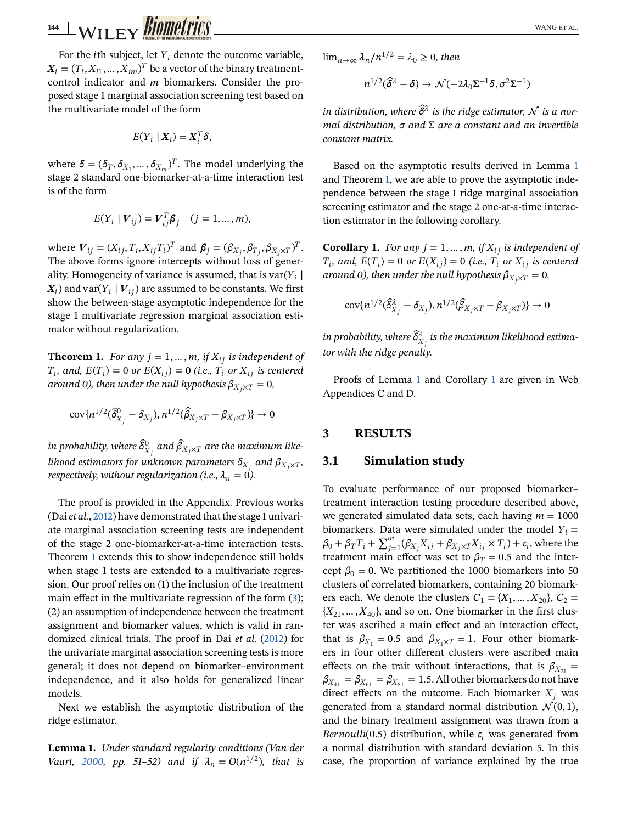<span id="page-3-0"></span>**144 WILEY BIOMETTICS** 

For the *i*th subject, let  $Y_i$  denote the outcome variable,  $X_i = (T_i, X_{i1}, \ldots, X_{im})^T$  be a vector of the binary treatmentcontrol indicator and  $m$  biomarkers. Consider the proposed stage 1 marginal association screening test based on the multivariate model of the form

$$
E(Y_i | X_i) = X_i^T \delta,
$$

where  $\boldsymbol{\delta} = (\delta_T, \delta_{X_1}, \dots, \delta_{X_m})^T$ . The model underlying the stage 2 standard one-biomarker-at-a-time interaction test is of the form

$$
E(Y_i | V_{ij}) = V_{ij}^T \boldsymbol{\beta}_j \quad (j = 1, ..., m),
$$

where  $V_{ij} = (X_{ij}, T_i, X_{ij}T_i)^T$  and  $\boldsymbol{\beta}_j = (\beta_{X_j}, \beta_{T_j}, \beta_{X_j \times T})^T$ . The above forms ignore intercepts without loss of generality. Homogeneity of variance is assumed, that is var $(Y_i |$  $\mathbf{X}_i$ ) and var $(Y_i | V_{ij})$  are assumed to be constants. We first show the between-stage asymptotic independence for the stage 1 multivariate regression marginal association estimator without regularization.

**Theorem 1.** *For any*  $j = 1, ..., m$ , *if*  $X_{ij}$  *is independent of*  $T_i$ , and,  $E(T_i) = 0$  *or*  $E(X_{ij}) = 0$  (i.e.,  $T_i$  *or*  $X_{ij}$  *is centered around 0), then under the null hypothesis*  $\beta_{X_i \times T} = 0$ *,* 

$$
\text{cov}\{n^{1/2}(\widehat{\delta}_{X_j}^0-\delta_{X_j}),n^{1/2}(\widehat{\beta}_{X_j\times T}-\beta_{X_j\times T})\}\to 0
$$

in probability, where  $\widehat{\delta}^0_{X_j}$  and  $\widehat{\beta}_{X_j \times T}$  are the maximum like*lihood estimators for unknown parameters*  $\delta_{X_i}$  and  $\beta_{X_i \times T}$ , *respectively, without regularization (i.e.,*  $\lambda_n = 0$ ).

The proof is provided in the Appendix. Previous works (Dai *et al.*, [2012\)](#page-8-0) have demonstrated that the stage 1 univariate marginal association screening tests are independent of the stage 2 one-biomarker-at-a-time interaction tests. Theorem 1 extends this to show independence still holds when stage 1 tests are extended to a multivariate regression. Our proof relies on (1) the inclusion of the treatment main effect in the multivariate regression of the form [\(3\)](#page-2-0); (2) an assumption of independence between the treatment assignment and biomarker values, which is valid in randomized clinical trials. The proof in Dai *et al.* [\(2012\)](#page-8-0) for the univariate marginal association screening tests is more general; it does not depend on biomarker–environment independence, and it also holds for generalized linear models.

Next we establish the asymptotic distribution of the ridge estimator.

**Lemma 1.** *Under standard regularity conditions (Van der Vaart, [2000,](#page-8-0) pp.* 51–52) and if  $\lambda_n = O(n^{1/2})$ , that is

 $\lim_{n\to\infty} \lambda_n/n^{1/2} = \lambda_0 \geq 0$ , then

$$
n^{1/2}(\delta^{\lambda}-\delta) \rightarrow \mathcal{N}(-2\lambda_0 \Sigma^{-1}\delta, \sigma^2 \Sigma^{-1})
$$

in distribution, where  $\hat{\delta}^{\lambda}$  is the ridge estimator,  $\mathcal N$  is a nor*mal distribution, and* Σ *are a constant and an invertible constant matrix.*

Based on the asymptotic results derived in Lemma 1 and Theorem 1, we are able to prove the asymptotic independence between the stage 1 ridge marginal association screening estimator and the stage 2 one-at-a-time interaction estimator in the following corollary.

**Corollary 1.** *For any*  $j = 1, ..., m$ , if  $X_{ij}$  is independent of  $T_i$ *, and,*  $E(T_i) = 0$  *or*  $E(X_{i,j}) = 0$  (i.e.,  $T_i$  *or*  $X_{i,j}$  *is centered around 0), then under the null hypothesis*  $\beta_{X \times T} = 0$ *,* 

$$
\text{cov}\{n^{1/2}(\widehat{\delta}_{X_j}^{\lambda} - \delta_{X_j}), n^{1/2}(\widehat{\beta}_{X_j \times T} - \beta_{X_j \times T})\} \to 0
$$

in probability, where  $\widehat{\delta}^\lambda_{X_j}$  is the maximum likelihood estima*tor with the ridge penalty.*

Proofs of Lemma 1 and Corollary 1 are given in Web Appendices C and D.

#### **3 RESULTS**

#### **3.1 Simulation study**

To evaluate performance of our proposed biomarker– treatment interaction testing procedure described above, we generated simulated data sets, each having  $m = 1000$ biomarkers. Data were simulated under the model  $Y_i =$  $\beta_0 + \beta_T T_i + \sum_{j=1}^m (\beta_{X_j} X_{ij} + \beta_{X_j \times T} X_{ij} \times T_i) + \varepsilon_i$ , where the treatment main effect was set to  $\beta_T = 0.5$  and the intercept  $\beta_0 = 0$ . We partitioned the 1000 biomarkers into 50 clusters of correlated biomarkers, containing 20 biomarkers each. We denote the clusters  $C_1 = \{X_1, \ldots, X_{20}\}, C_2 =$  ${X_{21},...,X_{40}}$ , and so on. One biomarker in the first cluster was ascribed a main effect and an interaction effect, that is  $\beta_{X_1} = 0.5$  and  $\beta_{X_1 \times T} = 1$ . Four other biomarkers in four other different clusters were ascribed main effects on the trait without interactions, that is  $\beta_{X_{21}} =$  $\beta_{X_{41}} = \beta_{X_{61}} = \beta_{X_{81}} = 1.5$ . All other biomarkers do not have direct effects on the outcome. Each biomarker  $X_i$  was generated from a standard normal distribution  $\mathcal{N}(0, 1)$ , and the binary treatment assignment was drawn from a *Bernoulli*(0.5) distribution, while  $\varepsilon_i$  was generated from a normal distribution with standard deviation 5. In this case, the proportion of variance explained by the true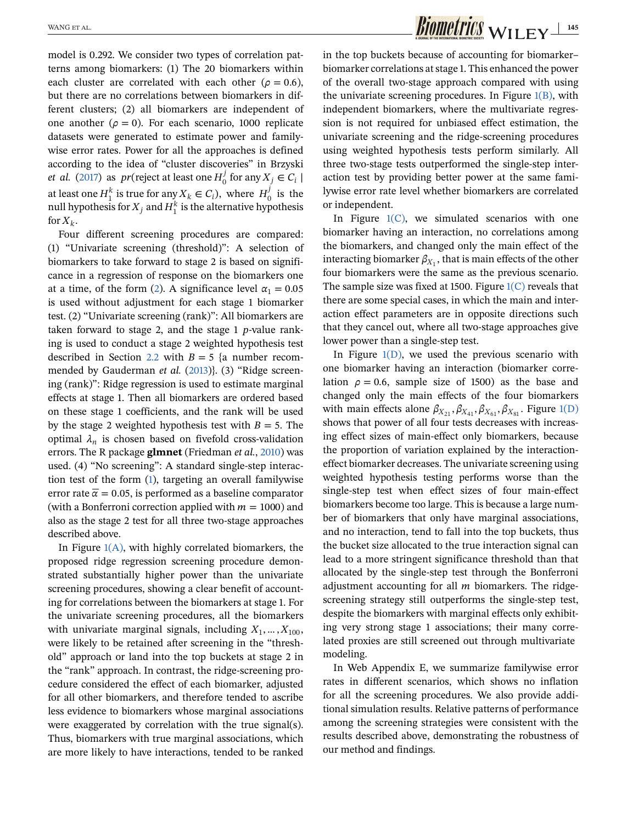model is 0.292. We consider two types of correlation patterns among biomarkers: (1) The 20 biomarkers within each cluster are correlated with each other ( $\rho = 0.6$ ), but there are no correlations between biomarkers in different clusters; (2) all biomarkers are independent of one another ( $\rho = 0$ ). For each scenario, 1000 replicate datasets were generated to estimate power and familywise error rates. Power for all the approaches is defined according to the idea of "cluster discoveries" in Brzyski *et al.* [\(2017\)](#page-8-0) as  $pr$  (reject at least one  $H_0^j$  for any  $X_j \in C_i$  | at least one  $H_1^k$  is true for any  $X_k \in C_i$ ), where  $H_0^j$  is the null hypothesis for  $X_j$  and  $H_1^k$  is the alternative hypothesis for  $X_k$ .

Four different screening procedures are compared: (1) "Univariate screening (threshold)": A selection of biomarkers to take forward to stage 2 is based on significance in a regression of response on the biomarkers one at a time, of the form [\(2\)](#page-2-0). A significance level  $\alpha_1 = 0.05$ is used without adjustment for each stage 1 biomarker test. (2) "Univariate screening (rank)": All biomarkers are taken forward to stage 2, and the stage  $1$   $p$ -value ranking is used to conduct a stage 2 weighted hypothesis test described in Section [2.2](#page-1-0) with  $B = 5$  {a number recom-mended by Gauderman et al. [\(2013\)](#page-8-0)}. (3) "Ridge screening (rank)": Ridge regression is used to estimate marginal effects at stage 1. Then all biomarkers are ordered based on these stage 1 coefficients, and the rank will be used by the stage 2 weighted hypothesis test with  $B = 5$ . The optimal  $\lambda_n$  is chosen based on fivefold cross-validation errors. The R package **glmnet** (Friedman *et al.*, [2010\)](#page-8-0) was used. (4) "No screening": A standard single-step interaction test of the form [\(1\)](#page-1-0), targeting an overall familywise error rate  $\bar{\alpha} = 0.05$ , is performed as a baseline comparator (with a Bonferroni correction applied with  $m = 1000$ ) and also as the stage 2 test for all three two-stage approaches described above.

In Figure  $1(A)$ , with highly correlated biomarkers, the proposed ridge regression screening procedure demonstrated substantially higher power than the univariate screening procedures, showing a clear benefit of accounting for correlations between the biomarkers at stage 1. For the univariate screening procedures, all the biomarkers with univariate marginal signals, including  $X_1, \ldots, X_{100}$ , were likely to be retained after screening in the "threshold" approach or land into the top buckets at stage 2 in the "rank" approach. In contrast, the ridge-screening procedure considered the effect of each biomarker, adjusted for all other biomarkers, and therefore tended to ascribe less evidence to biomarkers whose marginal associations were exaggerated by correlation with the true signal(s). Thus, biomarkers with true marginal associations, which are more likely to have interactions, tended to be ranked in the top buckets because of accounting for biomarker– biomarker correlations at stage 1. This enhanced the power of the overall two-stage approach compared with using the univariate screening procedures. In Figure  $1(B)$ , with independent biomarkers, where the multivariate regression is not required for unbiased effect estimation, the univariate screening and the ridge-screening procedures using weighted hypothesis tests perform similarly. All three two-stage tests outperformed the single-step interaction test by providing better power at the same familywise error rate level whether biomarkers are correlated or independent.

In Figure  $1(C)$ , we simulated scenarios with one biomarker having an interaction, no correlations among the biomarkers, and changed only the main effect of the interacting biomarker  $\beta_{X_1}$ , that is main effects of the other four biomarkers were the same as the previous scenario. The sample size was fixed at 1500. Figure  $1(C)$  reveals that there are some special cases, in which the main and interaction effect parameters are in opposite directions such that they cancel out, where all two-stage approaches give lower power than a single-step test.

In Figure  $1(D)$ , we used the previous scenario with one biomarker having an interaction (biomarker correlation  $\rho = 0.6$ , sample size of 1500) as the base and changed only the main effects of the four biomarkers with main effects alone  $\beta_{X_{21}}, \beta_{X_{41}}, \beta_{X_{61}}, \beta_{X_{81}}$ . Figure [1\(D\)](#page-5-0) shows that power of all four tests decreases with increasing effect sizes of main-effect only biomarkers, because the proportion of variation explained by the interactioneffect biomarker decreases. The univariate screening using weighted hypothesis testing performs worse than the single-step test when effect sizes of four main-effect biomarkers become too large. This is because a large number of biomarkers that only have marginal associations, and no interaction, tend to fall into the top buckets, thus the bucket size allocated to the true interaction signal can lead to a more stringent significance threshold than that allocated by the single-step test through the Bonferroni adjustment accounting for all  $m$  biomarkers. The ridgescreening strategy still outperforms the single-step test, despite the biomarkers with marginal effects only exhibiting very strong stage 1 associations; their many correlated proxies are still screened out through multivariate modeling.

In Web Appendix E, we summarize familywise error rates in different scenarios, which shows no inflation for all the screening procedures. We also provide additional simulation results. Relative patterns of performance among the screening strategies were consistent with the results described above, demonstrating the robustness of our method and findings.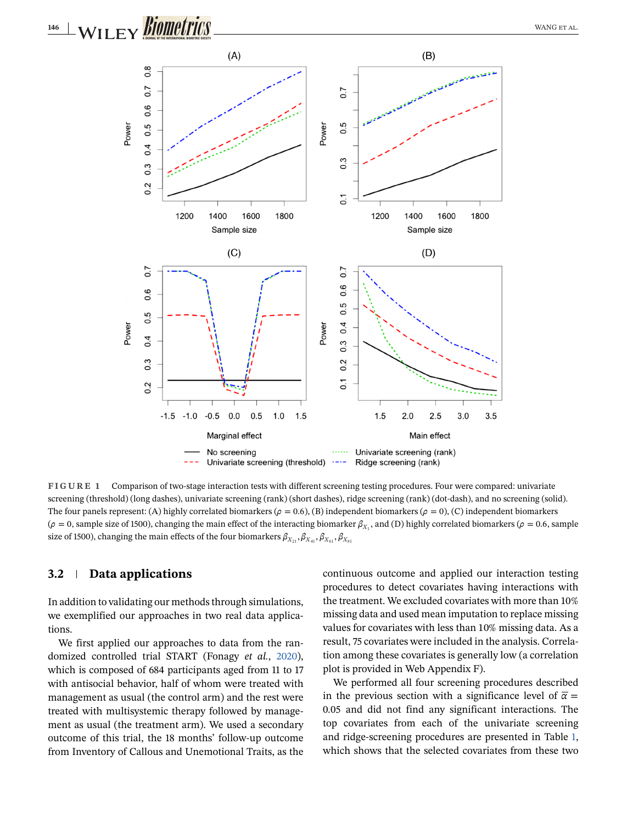<span id="page-5-0"></span>

**FIGURE 1** Comparison of two-stage interaction tests with different screening testing procedures. Four were compared: univariate screening (threshold) (long dashes), univariate screening (rank) (short dashes), ridge screening (rank) (dot-dash), and no screening (solid). The four panels represent: (A) highly correlated biomarkers ( $\rho = 0.6$ ), (B) independent biomarkers ( $\rho = 0$ ), (C) independent biomarkers ( $\rho = 0$ , sample size of 1500), changing the main effect of the interacting biomarker  $\beta_{X_1}$ , and (D) highly correlated biomarkers ( $\rho = 0.6$ , sample size of 1500), changing the main effects of the four biomarkers  $\beta_{X_{21}}, \beta_{X_{41}}, \beta_{X_{61}}, \beta_{X_{81}}$ 

# **3.2 Data applications**

In addition to validating our methods through simulations, we exemplified our approaches in two real data applications.

We first applied our approaches to data from the randomized controlled trial START (Fonagy *et al.*, [2020\)](#page-8-0), which is composed of 684 participants aged from 11 to 17 with antisocial behavior, half of whom were treated with management as usual (the control arm) and the rest were treated with multisystemic therapy followed by management as usual (the treatment arm). We used a secondary outcome of this trial, the 18 months' follow-up outcome from Inventory of Callous and Unemotional Traits, as the continuous outcome and applied our interaction testing procedures to detect covariates having interactions with the treatment. We excluded covariates with more than 10% missing data and used mean imputation to replace missing values for covariates with less than 10% missing data. As a result, 75 covariates were included in the analysis. Correlation among these covariates is generally low (a correlation plot is provided in Web Appendix F).

We performed all four screening procedures described in the previous section with a significance level of  $\bar{\alpha}$  = 0.05 and did not find any significant interactions. The top covariates from each of the univariate screening and ridge-screening procedures are presented in Table [1,](#page-6-0) which shows that the selected covariates from these two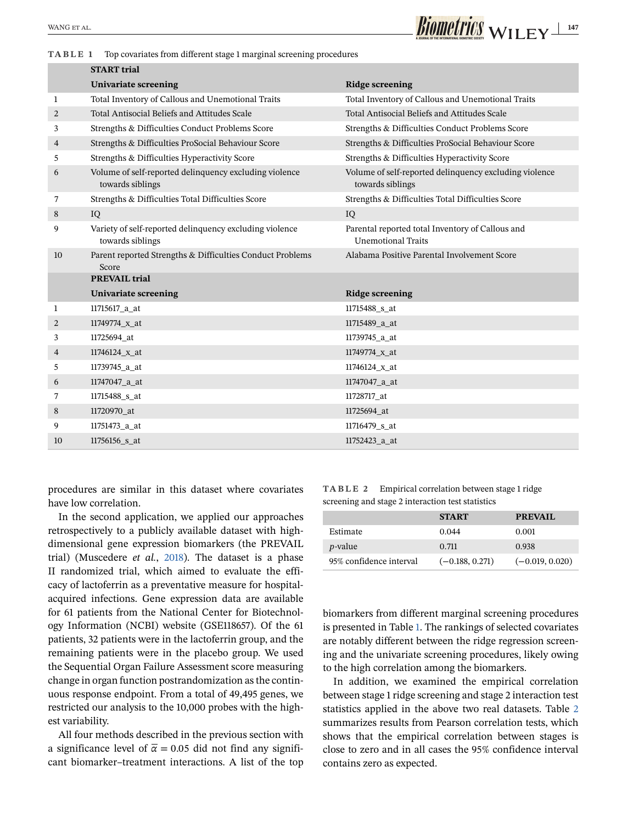<span id="page-6-0"></span>

**TABLE 1** Top covariates from different stage 1 marginal screening procedures

|                | <b>START</b> trial                                                          |                                                                               |
|----------------|-----------------------------------------------------------------------------|-------------------------------------------------------------------------------|
|                | Univariate screening                                                        | <b>Ridge screening</b>                                                        |
| 1              | Total Inventory of Callous and Unemotional Traits                           | Total Inventory of Callous and Unemotional Traits                             |
| $\overline{2}$ | Total Antisocial Beliefs and Attitudes Scale                                | Total Antisocial Beliefs and Attitudes Scale                                  |
| 3              | Strengths & Difficulties Conduct Problems Score                             | Strengths & Difficulties Conduct Problems Score                               |
| 4              | Strengths & Difficulties ProSocial Behaviour Score                          | Strengths & Difficulties ProSocial Behaviour Score                            |
| 5              | Strengths & Difficulties Hyperactivity Score                                | Strengths & Difficulties Hyperactivity Score                                  |
| 6              | Volume of self-reported delinquency excluding violence<br>towards siblings  | Volume of self-reported delinquency excluding violence<br>towards siblings    |
| 7              | Strengths & Difficulties Total Difficulties Score                           | Strengths & Difficulties Total Difficulties Score                             |
| 8              | IQ                                                                          | IQ                                                                            |
| 9              | Variety of self-reported delinquency excluding violence<br>towards siblings | Parental reported total Inventory of Callous and<br><b>Unemotional Traits</b> |
| 10             | Parent reported Strengths & Difficulties Conduct Problems<br>Score          | Alabama Positive Parental Involvement Score                                   |
|                | <b>PREVAIL trial</b>                                                        |                                                                               |
|                | Univariate screening                                                        | <b>Ridge screening</b>                                                        |
| 1              | 11715617_a_at                                                               | 11715488_s_at                                                                 |
| 2              | 11749774_x_at                                                               | 11715489_a_at                                                                 |
| 3              | 11725694 at                                                                 | 11739745 a at                                                                 |
| 4              | 11746124_x_at                                                               | 11749774_x_at                                                                 |
| 5              | 11739745_a_at                                                               | 11746124_x_at                                                                 |
| 6              | 11747047_a_at                                                               | 11747047_a_at                                                                 |
| 7              | 11715488 s at                                                               | 11728717_at                                                                   |
| 8              | 11720970_at                                                                 | 11725694_at                                                                   |
| 9              | 11751473_a_at                                                               | 11716479_s_at                                                                 |
| 10             | 11756156_s_at                                                               | 11752423_a_at                                                                 |

procedures are similar in this dataset where covariates have low correlation.

In the second application, we applied our approaches retrospectively to a publicly available dataset with highdimensional gene expression biomarkers (the PREVAIL trial) (Muscedere *et al.*, [2018\)](#page-8-0). The dataset is a phase II randomized trial, which aimed to evaluate the efficacy of lactoferrin as a preventative measure for hospitalacquired infections. Gene expression data are available for 61 patients from the National Center for Biotechnology Information (NCBI) website (GSE118657). Of the 61 patients, 32 patients were in the lactoferrin group, and the remaining patients were in the placebo group. We used the Sequential Organ Failure Assessment score measuring change in organ function postrandomization as the continuous response endpoint. From a total of 49,495 genes, we restricted our analysis to the 10,000 probes with the highest variability.

All four methods described in the previous section with a significance level of  $\bar{\alpha} = 0.05$  did not find any significant biomarker–treatment interactions. A list of the top

**TABLE 2** Empirical correlation between stage 1 ridge screening and stage 2 interaction test statistics

|                         | <b>START</b>      | <b>PREVAIL</b>    |
|-------------------------|-------------------|-------------------|
| Estimate                | 0.044             | 0.001             |
| <i>p</i> -value         | 0.711             | 0.938             |
| 95% confidence interval | $(-0.188, 0.271)$ | $(-0.019, 0.020)$ |

biomarkers from different marginal screening procedures is presented in Table 1. The rankings of selected covariates are notably different between the ridge regression screening and the univariate screening procedures, likely owing to the high correlation among the biomarkers.

In addition, we examined the empirical correlation between stage 1 ridge screening and stage 2 interaction test statistics applied in the above two real datasets. Table 2 summarizes results from Pearson correlation tests, which shows that the empirical correlation between stages is close to zero and in all cases the 95% confidence interval contains zero as expected.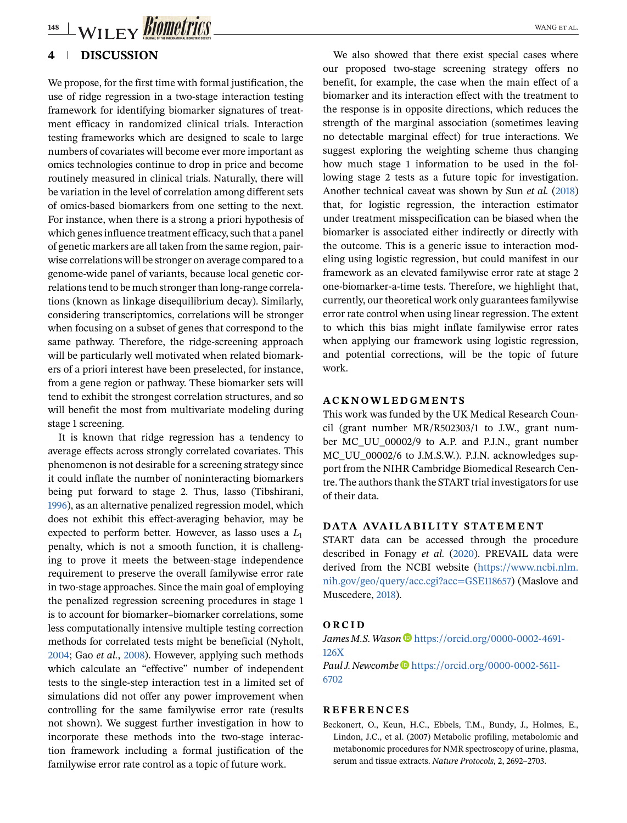<span id="page-7-0"></span>**148 WILEY BIOMETTICS** 

# **4 DISCUSSION**

We propose, for the first time with formal justification, the use of ridge regression in a two-stage interaction testing framework for identifying biomarker signatures of treatment efficacy in randomized clinical trials. Interaction testing frameworks which are designed to scale to large numbers of covariates will become ever more important as omics technologies continue to drop in price and become routinely measured in clinical trials. Naturally, there will be variation in the level of correlation among different sets of omics-based biomarkers from one setting to the next. For instance, when there is a strong a priori hypothesis of which genes influence treatment efficacy, such that a panel of genetic markers are all taken from the same region, pairwise correlations will be stronger on average compared to a genome-wide panel of variants, because local genetic correlations tend to be much stronger than long-range correlations (known as linkage disequilibrium decay). Similarly, considering transcriptomics, correlations will be stronger when focusing on a subset of genes that correspond to the same pathway. Therefore, the ridge-screening approach will be particularly well motivated when related biomarkers of a priori interest have been preselected, for instance, from a gene region or pathway. These biomarker sets will tend to exhibit the strongest correlation structures, and so will benefit the most from multivariate modeling during stage 1 screening.

It is known that ridge regression has a tendency to average effects across strongly correlated covariates. This phenomenon is not desirable for a screening strategy since it could inflate the number of noninteracting biomarkers being put forward to stage 2. Thus, lasso (Tibshirani, [1996\)](#page-8-0), as an alternative penalized regression model, which does not exhibit this effect-averaging behavior, may be expected to perform better. However, as lasso uses a  $L_1$ penalty, which is not a smooth function, it is challenging to prove it meets the between-stage independence requirement to preserve the overall familywise error rate in two-stage approaches. Since the main goal of employing the penalized regression screening procedures in stage 1 is to account for biomarker–biomarker correlations, some less computationally intensive multiple testing correction methods for correlated tests might be beneficial (Nyholt, [2004;](#page-8-0) Gao *et al.*, [2008\)](#page-8-0). However, applying such methods which calculate an "effective" number of independent tests to the single-step interaction test in a limited set of simulations did not offer any power improvement when controlling for the same familywise error rate (results not shown). We suggest further investigation in how to incorporate these methods into the two-stage interaction framework including a formal justification of the familywise error rate control as a topic of future work.

We also showed that there exist special cases where our proposed two-stage screening strategy offers no benefit, for example, the case when the main effect of a biomarker and its interaction effect with the treatment to the response is in opposite directions, which reduces the strength of the marginal association (sometimes leaving no detectable marginal effect) for true interactions. We suggest exploring the weighting scheme thus changing how much stage 1 information to be used in the following stage 2 tests as a future topic for investigation. Another technical caveat was shown by Sun *et al.* [\(2018\)](#page-8-0) that, for logistic regression, the interaction estimator under treatment misspecification can be biased when the biomarker is associated either indirectly or directly with the outcome. This is a generic issue to interaction modeling using logistic regression, but could manifest in our framework as an elevated familywise error rate at stage 2 one-biomarker-a-time tests. Therefore, we highlight that, currently, our theoretical work only guarantees familywise error rate control when using linear regression. The extent to which this bias might inflate familywise error rates when applying our framework using logistic regression, and potential corrections, will be the topic of future work.

### **ACKNOWLEDGMENTS**

This work was funded by the UK Medical Research Council (grant number MR/R502303/1 to J.W., grant number MC\_UU\_00002/9 to A.P. and P.J.N., grant number MC\_UU\_00002/6 to J.M.S.W.). P.J.N. acknowledges support from the NIHR Cambridge Biomedical Research Centre. The authors thank the START trial investigators for use of their data.

#### **DATA AVAILABILITY STATEMENT**

START data can be accessed through the procedure described in Fonagy *et al.* [\(2020\)](#page-8-0). PREVAIL data were derived from the NCBI website [\(https://www.ncbi.nlm.](https://www.ncbi.nlm.nih.gov/geo/query/acc.cgi?acc=GSE118657) [nih.gov/geo/query/acc.cgi?acc=GSE118657\)](https://www.ncbi.nlm.nih.gov/geo/query/acc.cgi?acc=GSE118657) (Maslove and Muscedere, [2018\)](#page-8-0).

#### **ORCID**

*James M.S. Wason* **D** [https://orcid.org/0000-0002-4691-](https://orcid.org/0000-0002-4691-126X) [126X](https://orcid.org/0000-0002-4691-126X) *Paul J. Newcombe* [https://orcid.org/0000-0002-5611-](https://orcid.org/0000-0002-5611-6702) [6702](https://orcid.org/0000-0002-5611-6702)

#### **REFERENCES**

Beckonert, O., Keun, H.C., Ebbels, T.M., Bundy, J., Holmes, E., Lindon, J.C., et al. (2007) Metabolic profiling, metabolomic and metabonomic procedures for NMR spectroscopy of urine, plasma, serum and tissue extracts. *Nature Protocols*, 2, 2692–2703.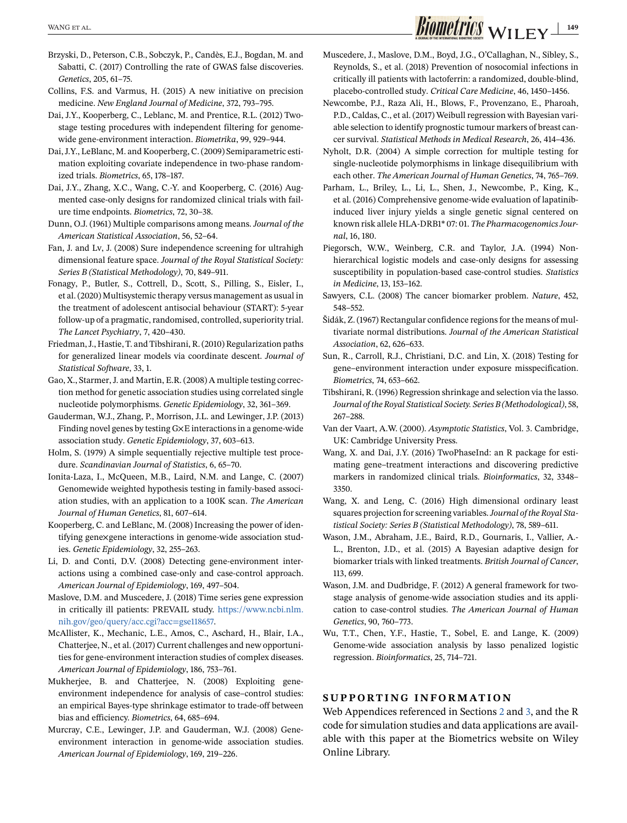Brzyski, D., Peterson, C.B., Sobczyk, P., Candès, E.J., Bogdan, M. and Sabatti, C. (2017) Controlling the rate of GWAS false discoveries. *Genetics*, 205, 61–75.

- Collins, F.S. and Varmus, H. (2015) A new initiative on precision medicine. *New England Journal of Medicine*, 372, 793–795.
- Dai, J.Y., Kooperberg, C., Leblanc, M. and Prentice, R.L. (2012) Twostage testing procedures with independent filtering for genomewide gene-environment interaction. *Biometrika*, 99, 929–944.
- Dai, J.Y., LeBlanc, M. and Kooperberg, C. (2009) Semiparametric estimation exploiting covariate independence in two-phase randomized trials. *Biometrics*, 65, 178–187.
- Dai, J.Y., Zhang, X.C., Wang, C.-Y. and Kooperberg, C. (2016) Augmented case-only designs for randomized clinical trials with failure time endpoints. *Biometrics*, 72, 30–38.
- Dunn, O.J. (1961) Multiple comparisons among means. *Journal of the American Statistical Association*, 56, 52–64.
- Fan, J. and Lv, J. (2008) Sure independence screening for ultrahigh dimensional feature space. *Journal of the Royal Statistical Society: Series B (Statistical Methodology)*, 70, 849–911.
- Fonagy, P., Butler, S., Cottrell, D., Scott, S., Pilling, S., Eisler, I., et al. (2020) Multisystemic therapy versus management as usual in the treatment of adolescent antisocial behaviour (START): 5-year follow-up of a pragmatic, randomised, controlled, superiority trial. *The Lancet Psychiatry*, 7, 420–430.
- Friedman, J., Hastie, T. and Tibshirani, R. (2010) Regularization paths for generalized linear models via coordinate descent. *Journal of Statistical Software*, 33, 1.
- Gao, X., Starmer, J. and Martin, E.R. (2008) A multiple testing correction method for genetic association studies using correlated single nucleotide polymorphisms. *Genetic Epidemiology*, 32, 361–369.
- Gauderman, W.J., Zhang, P., Morrison, J.L. and Lewinger, J.P. (2013) Finding novel genes by testing G×E interactions in a genome-wide association study. *Genetic Epidemiology*, 37, 603–613.
- Holm, S. (1979) A simple sequentially rejective multiple test procedure. *Scandinavian Journal of Statistics*, 6, 65–70.
- Ionita-Laza, I., McQueen, M.B., Laird, N.M. and Lange, C. (2007) Genomewide weighted hypothesis testing in family-based association studies, with an application to a 100K scan. *The American Journal of Human Genetics*, 81, 607–614.
- Kooperberg, C. and LeBlanc, M. (2008) Increasing the power of identifying gene×gene interactions in genome-wide association studies. *Genetic Epidemiology*, 32, 255–263.
- Li, D. and Conti, D.V. (2008) Detecting gene-environment interactions using a combined case-only and case-control approach. *American Journal of Epidemiology*, 169, 497–504.
- Maslove, D.M. and Muscedere, J. (2018) Time series gene expression in critically ill patients: PREVAIL study. [https://www.ncbi.nlm.](https://www.ncbi.nlm.nih.gov/geo/query/acc.cgi?acc=gse118657) [nih.gov/geo/query/acc.cgi?acc=gse118657.](https://www.ncbi.nlm.nih.gov/geo/query/acc.cgi?acc=gse118657)
- McAllister, K., Mechanic, L.E., Amos, C., Aschard, H., Blair, I.A., Chatterjee, N., et al. (2017) Current challenges and new opportunities for gene-environment interaction studies of complex diseases. *American Journal of Epidemiology*, 186, 753–761.
- Mukherjee, B. and Chatterjee, N. (2008) Exploiting geneenvironment independence for analysis of case–control studies: an empirical Bayes-type shrinkage estimator to trade-off between bias and efficiency. *Biometrics*, 64, 685–694.
- Murcray, C.E., Lewinger, J.P. and Gauderman, W.J. (2008) Geneenvironment interaction in genome-wide association studies. *American Journal of Epidemiology*, 169, 219–226.

# <span id="page-8-0"></span> $\frac{1}{\text{WANG ETAL}}$  WILEY  $\frac{1}{149}$

- Muscedere, J., Maslove, D.M., Boyd, J.G., O'Callaghan, N., Sibley, S., Reynolds, S., et al. (2018) Prevention of nosocomial infections in critically ill patients with lactoferrin: a randomized, double-blind, placebo-controlled study. *Critical Care Medicine*, 46, 1450–1456.
- Newcombe, P.J., Raza Ali, H., Blows, F., Provenzano, E., Pharoah, P.D., Caldas, C., et al. (2017) Weibull regression with Bayesian variable selection to identify prognostic tumour markers of breast cancer survival. *Statistical Methods in Medical Research*, 26, 414–436.
- Nyholt, D.R. (2004) A simple correction for multiple testing for single-nucleotide polymorphisms in linkage disequilibrium with each other. *The American Journal of Human Genetics*, 74, 765–769.
- Parham, L., Briley, L., Li, L., Shen, J., Newcombe, P., King, K., et al. (2016) Comprehensive genome-wide evaluation of lapatinibinduced liver injury yields a single genetic signal centered on known risk allele HLA-DRB1\* 07: 01. *The Pharmacogenomics Journal*, 16, 180.
- Piegorsch, W.W., Weinberg, C.R. and Taylor, J.A. (1994) Nonhierarchical logistic models and case-only designs for assessing susceptibility in population-based case-control studies. *Statistics in Medicine*, 13, 153–162.
- Sawyers, C.L. (2008) The cancer biomarker problem. *Nature*, 452, 548–552.
- Šidák, Z. (1967) Rectangular confidence regions for the means of multivariate normal distributions. *Journal of the American Statistical Association*, 62, 626–633.
- Sun, R., Carroll, R.J., Christiani, D.C. and Lin, X. (2018) Testing for gene–environment interaction under exposure misspecification. *Biometrics*, 74, 653–662.
- Tibshirani, R. (1996) Regression shrinkage and selection via the lasso. *Journal of the Royal Statistical Society. Series B (Methodological)*, 58, 267–288.
- Van der Vaart, A.W. (2000). *Asymptotic Statistics*, Vol. 3. Cambridge, UK: Cambridge University Press.
- Wang, X. and Dai, J.Y. (2016) TwoPhaseInd: an R package for estimating gene–treatment interactions and discovering predictive markers in randomized clinical trials. *Bioinformatics*, 32, 3348– 3350.
- Wang, X. and Leng, C. (2016) High dimensional ordinary least squares projection for screening variables.*Journal of the Royal Statistical Society: Series B (Statistical Methodology)*, 78, 589–611.
- Wason, J.M., Abraham, J.E., Baird, R.D., Gournaris, I., Vallier, A.- L., Brenton, J.D., et al. (2015) A Bayesian adaptive design for biomarker trials with linked treatments. *British Journal of Cancer*, 113, 699.
- Wason, J.M. and Dudbridge, F. (2012) A general framework for twostage analysis of genome-wide association studies and its application to case-control studies. *The American Journal of Human Genetics*, 90, 760–773.
- Wu, T.T., Chen, Y.F., Hastie, T., Sobel, E. and Lange, K. (2009) Genome-wide association analysis by lasso penalized logistic regression. *Bioinformatics*, 25, 714–721.

# **SUPPORTING INFORMATION**

Web Appendices referenced in Sections [2](#page-1-0) and [3,](#page-3-0) and the R code for simulation studies and data applications are available with this paper at the Biometrics website on Wiley Online Library.